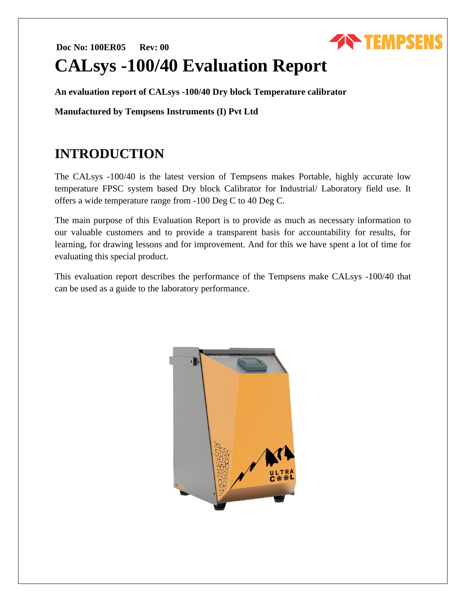# **Doc No: 100ER05 Rev: 00 CALsys -100/40 Evaluation Report**

**An evaluation report of CALsys -100/40 Dry block Temperature calibrator**

**Manufactured by Tempsens Instruments (I) Pvt Ltd**

# **INTRODUCTION**

The CALsys -100/40 is the latest version of Tempsens makes Portable, highly accurate low temperature FPSC system based Dry block Calibrator for Industrial/ Laboratory field use. It offers a wide temperature range from -100 Deg C to 40 Deg C.

**THEMPSENS** 

The main purpose of this Evaluation Report is to provide as much as necessary information to our valuable customers and to provide a transparent basis for accountability for results, for learning, for drawing lessons and for improvement. And for this we have spent a lot of time for evaluating this special product.

This evaluation report describes the performance of the Tempsens make CALsys -100/40 that can be used as a guide to the laboratory performance.

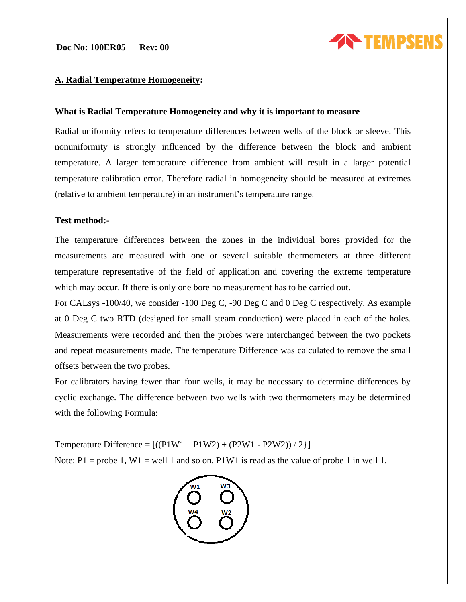

### **A. Radial Temperature Homogeneity:**

### **What is Radial Temperature Homogeneity and why it is important to measure**

Radial uniformity refers to temperature differences between wells of the block or sleeve. This nonuniformity is strongly influenced by the difference between the block and ambient temperature. A larger temperature difference from ambient will result in a larger potential temperature calibration error. Therefore radial in homogeneity should be measured at extremes (relative to ambient temperature) in an instrument's temperature range.

### **Test method:-**

The temperature differences between the zones in the individual bores provided for the measurements are measured with one or several suitable thermometers at three different temperature representative of the field of application and covering the extreme temperature which may occur. If there is only one bore no measurement has to be carried out.

For CALsys -100/40, we consider -100 Deg C, -90 Deg C and 0 Deg C respectively. As example at 0 Deg C two RTD (designed for small steam conduction) were placed in each of the holes. Measurements were recorded and then the probes were interchanged between the two pockets and repeat measurements made. The temperature Difference was calculated to remove the small offsets between the two probes.

For calibrators having fewer than four wells, it may be necessary to determine differences by cyclic exchange. The difference between two wells with two thermometers may be determined with the following Formula:

Temperature Difference =  $[(P1W1 - P1W2) + (P2W1 - P2W2))/2]$ Note:  $P1 =$  probe 1,  $W1 =$  well 1 and so on. P1W1 is read as the value of probe 1 in well 1.

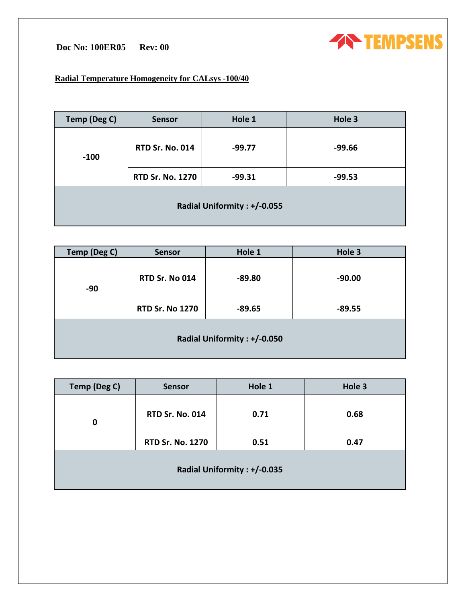# **Doc No: 100ER05 Rev: 00**

# **TEMPSENS**

## **Radial Temperature Homogeneity for CALsys -100/40**

| Temp (Deg C)                | <b>Sensor</b>           | Hole 1   | Hole 3   |
|-----------------------------|-------------------------|----------|----------|
| $-100$                      | <b>RTD Sr. No. 014</b>  | $-99.77$ | $-99.66$ |
|                             | <b>RTD Sr. No. 1270</b> | $-99.31$ | $-99.53$ |
| Radial Uniformity: +/-0.055 |                         |          |          |

| <b>Temp (Deg C)</b>         | Sensor                 | Hole 1   | Hole 3   |
|-----------------------------|------------------------|----------|----------|
| $-90$                       | <b>RTD Sr. No 014</b>  | $-89.80$ | $-90.00$ |
|                             | <b>RTD Sr. No 1270</b> | $-89.65$ | $-89.55$ |
| Radial Uniformity: +/-0.050 |                        |          |          |

| Temp (Deg C)                | <b>Sensor</b>           | Hole 1 | Hole 3 |
|-----------------------------|-------------------------|--------|--------|
| 0                           | <b>RTD Sr. No. 014</b>  | 0.71   | 0.68   |
|                             | <b>RTD Sr. No. 1270</b> | 0.51   | 0.47   |
| Radial Uniformity: +/-0.035 |                         |        |        |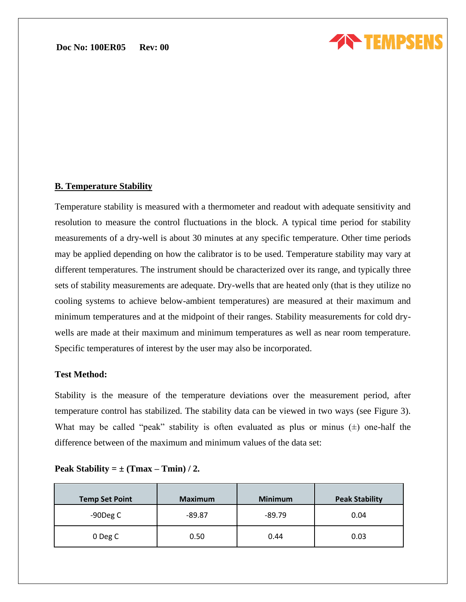

### **B. Temperature Stability**

Temperature stability is measured with a thermometer and readout with adequate sensitivity and resolution to measure the control fluctuations in the block. A typical time period for stability measurements of a dry-well is about 30 minutes at any specific temperature. Other time periods may be applied depending on how the calibrator is to be used. Temperature stability may vary at different temperatures. The instrument should be characterized over its range, and typically three sets of stability measurements are adequate. Dry-wells that are heated only (that is they utilize no cooling systems to achieve below-ambient temperatures) are measured at their maximum and minimum temperatures and at the midpoint of their ranges. Stability measurements for cold drywells are made at their maximum and minimum temperatures as well as near room temperature. Specific temperatures of interest by the user may also be incorporated.

### **Test Method:**

Stability is the measure of the temperature deviations over the measurement period, after temperature control has stabilized. The stability data can be viewed in two ways (see Figure 3). What may be called "peak" stability is often evaluated as plus or minus  $(\pm)$  one-half the difference between of the maximum and minimum values of the data set:

| <b>Temp Set Point</b> | <b>Maximum</b> | <b>Minimum</b> | <b>Peak Stability</b> |
|-----------------------|----------------|----------------|-----------------------|
| -90Deg C              | $-89.87$       | $-89.79$       | 0.04                  |
| 0 Deg C               | 0.50           | 0.44           | 0.03                  |

|  | Peak Stability = $\pm$ (Tmax – Tmin) / 2. |  |  |  |  |
|--|-------------------------------------------|--|--|--|--|
|--|-------------------------------------------|--|--|--|--|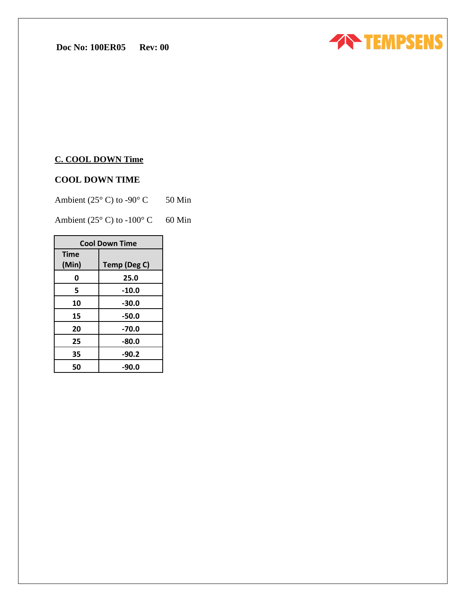

### **C. COOL DOWN Time**

## **COOL DOWN TIME**

Ambient ( $25^{\circ}$  C) to -90° C 50 Min

Ambient (25 $\degree$  C) to -100 $\degree$  C 60 Min

| <b>Cool Down Time</b> |              |  |
|-----------------------|--------------|--|
| <b>Time</b>           |              |  |
| (Min)                 | Temp (Deg C) |  |
| 0                     | 25.0         |  |
| 5                     | $-10.0$      |  |
| 10                    | $-30.0$      |  |
| 15                    | $-50.0$      |  |
| 20                    | $-70.0$      |  |
| 25                    | $-80.0$      |  |
| 35                    | $-90.2$      |  |
| 50                    | -90.0        |  |